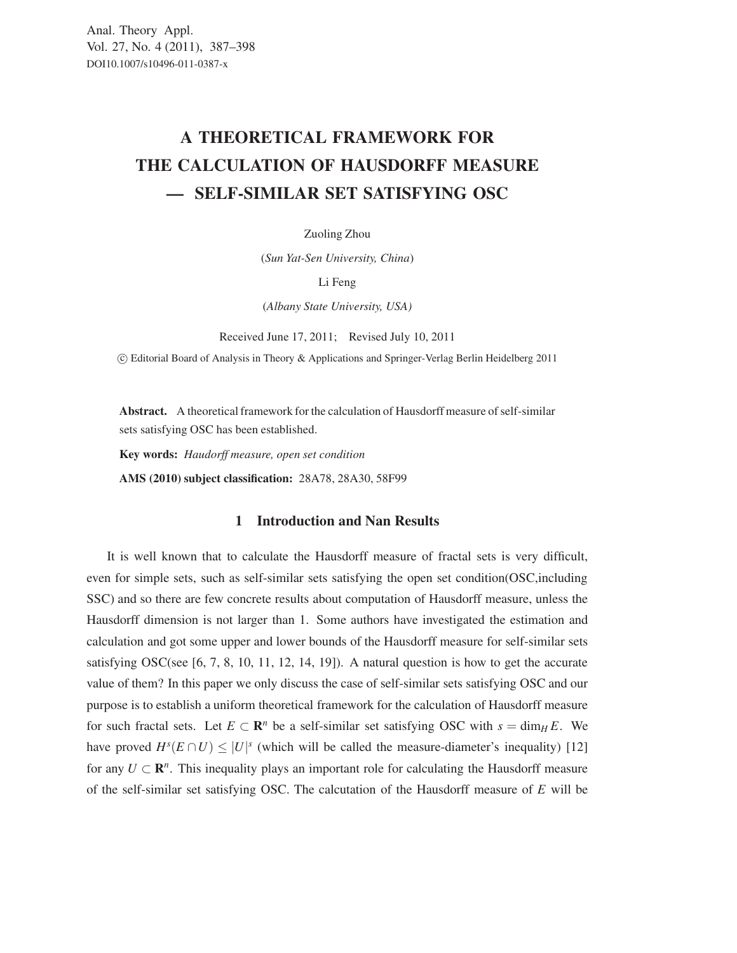## A THEORETICAL FRAMEWORK FOR THE CALCULATION OF HAUSDORFF MEASURE — SELF-SIMILAR SET SATISFYING OSC

Zuoling Zhou

(*Sun Yat-Sen University, China*)

Li Feng

(*Albany State University, USA)*

Received June 17, 2011; Revised July 10, 2011

-c Editorial Board of Analysis in Theory & Applications and Springer-Verlag Berlin Heidelberg 2011

Abstract. A theoretical framework for the calculation of Hausdorff measure of self-similar sets satisfying OSC has been established.

Key words: *Haudorff measure, open set condition*

AMS (2010) subject classification: 28A78, 28A30, 58F99

## 1 Introduction and Nan Results

It is well known that to calculate the Hausdorff measure of fractal sets is very difficult, even for simple sets, such as self-similar sets satisfying the open set condition(OSC,including SSC) and so there are few concrete results about computation of Hausdorff measure, unless the Hausdorff dimension is not larger than 1. Some authors have investigated the estimation and calculation and got some upper and lower bounds of the Hausdorff measure for self-similar sets satisfying OSC(see  $[6, 7, 8, 10, 11, 12, 14, 19]$ ). A natural question is how to get the accurate value of them? In this paper we only discuss the case of self-similar sets satisfying OSC and our purpose is to establish a uniform theoretical framework for the calculation of Hausdorff measure for such fractal sets. Let  $E \subset \mathbb{R}^n$  be a self-similar set satisfying OSC with  $s = \dim_H E$ . We have proved  $H^s(E \cap U) \leq |U|^s$  (which will be called the measure-diameter's inequality) [12] for any  $U \subset \mathbb{R}^n$ . This inequality plays an important role for calculating the Hausdorff measure of the self-similar set satisfying OSC. The calcutation of the Hausdorff measure of *E* will be